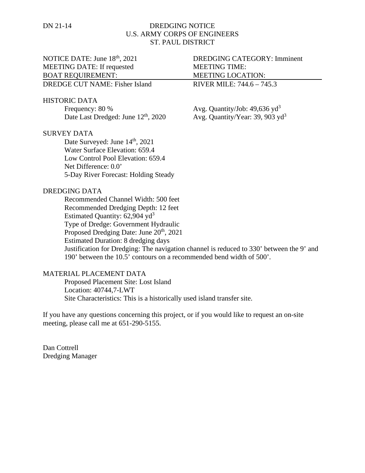## DN 21-14 DREDGING NOTICE U.S. ARMY CORPS OF ENGINEERS ST. PAUL DISTRICT

# MEETING DATE: If requested MEETING TIME: BOAT REQUIREMENT: MEETING LOCATION:

DREDGE CUT NAME: Fisher Island RIVER MILE: 744.6 – 745.3

#### HISTORIC DATA

Frequency:  $80\%$  Avg. Quantity/Job:  $49,636 \text{ yd}^3$ Date Last Dredged: June  $12<sup>th</sup>$ , 2020 Avg. Quantity/Year: 39, 903 yd<sup>3</sup>

## SURVEY DATA

Date Surveyed: June  $14<sup>th</sup>$ , 2021 Water Surface Elevation: 659.4 Low Control Pool Elevation: 659.4 Net Difference: 0.0' 5-Day River Forecast: Holding Steady

#### DREDGING DATA

Recommended Channel Width: 500 feet Recommended Dredging Depth: 12 feet Estimated Quantity:  $62,904$  yd<sup>3</sup> Type of Dredge: Government Hydraulic Proposed Dredging Date: June 20<sup>th</sup>, 2021 Estimated Duration: 8 dredging days Justification for Dredging: The navigation channel is reduced to 330' between the 9' and 190' between the 10.5' contours on a recommended bend width of 500'.

## MATERIAL PLACEMENT DATA

Proposed Placement Site: Lost Island Location: 40744,7-LWT Site Characteristics: This is a historically used island transfer site.

If you have any questions concerning this project, or if you would like to request an on-site meeting, please call me at 651-290-5155.

Dan Cottrell Dredging Manager

NOTICE DATE: June 18<sup>th</sup>, 2021 DREDGING CATEGORY: Imminent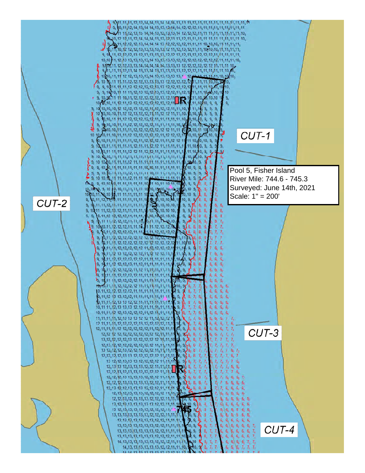